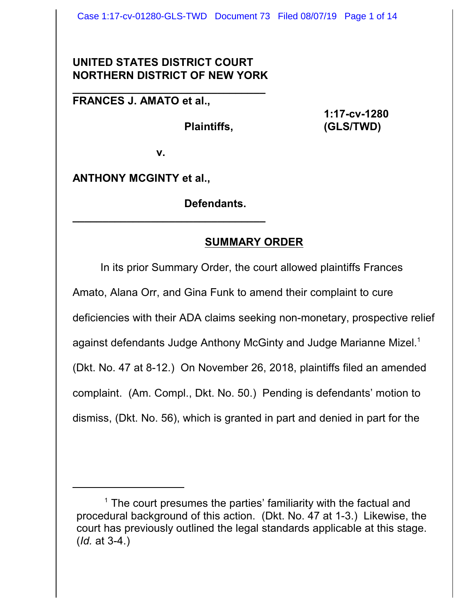## **UNITED STATES DISTRICT COURT NORTHERN DISTRICT OF NEW YORK**

**\_\_\_\_\_\_\_\_\_\_\_\_\_\_\_\_\_\_\_\_\_\_\_\_\_\_\_\_\_\_\_\_**

**FRANCES J. AMATO et al.,**

**1:17-cv-1280 Plaintiffs, (GLS/TWD)**

**v.**

**\_\_\_\_\_\_\_\_\_\_\_\_\_\_\_\_\_\_\_\_\_\_\_\_\_\_\_\_\_\_\_\_**

**ANTHONY MCGINTY et al.,**

**Defendants.**

## **SUMMARY ORDER**

In its prior Summary Order, the court allowed plaintiffs Frances Amato, Alana Orr, and Gina Funk to amend their complaint to cure deficiencies with their ADA claims seeking non-monetary, prospective relief against defendants Judge Anthony McGinty and Judge Marianne Mizel.<sup>1</sup> (Dkt. No. 47 at 8-12.) On November 26, 2018, plaintiffs filed an amended complaint. (Am. Compl., Dkt. No. 50.) Pending is defendants' motion to dismiss, (Dkt. No. 56), which is granted in part and denied in part for the

 $<sup>1</sup>$  The court presumes the parties' familiarity with the factual and</sup> procedural background of this action. (Dkt. No. 47 at 1-3.) Likewise, the court has previously outlined the legal standards applicable at this stage. (*Id.* at 3-4.)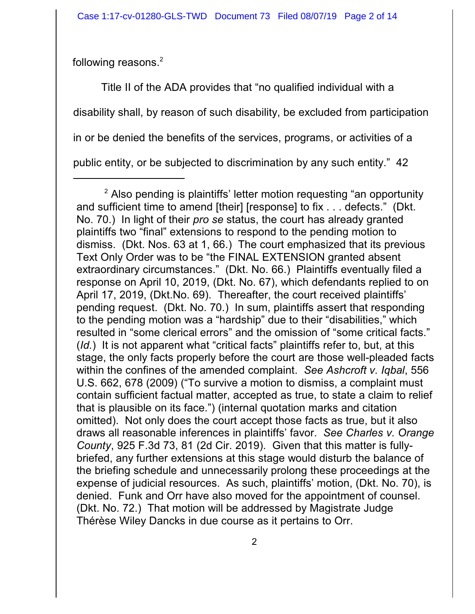following reasons.<sup>2</sup>

Title II of the ADA provides that "no qualified individual with a disability shall, by reason of such disability, be excluded from participation in or be denied the benefits of the services, programs, or activities of a public entity, or be subjected to discrimination by any such entity." 42

 $2$  Also pending is plaintiffs' letter motion requesting "an opportunity and sufficient time to amend [their] [response] to fix . . . defects." (Dkt. No. 70.) In light of their *pro se* status, the court has already granted plaintiffs two "final" extensions to respond to the pending motion to dismiss. (Dkt. Nos. 63 at 1, 66.) The court emphasized that its previous Text Only Order was to be "the FINAL EXTENSION granted absent extraordinary circumstances." (Dkt. No. 66.) Plaintiffs eventually filed a response on April 10, 2019, (Dkt. No. 67), which defendants replied to on April 17, 2019, (Dkt.No. 69). Thereafter, the court received plaintiffs' pending request. (Dkt. No. 70.) In sum, plaintiffs assert that responding to the pending motion was a "hardship" due to their "disabilities," which resulted in "some clerical errors" and the omission of "some critical facts." (*Id.*) It is not apparent what "critical facts" plaintiffs refer to, but, at this stage, the only facts properly before the court are those well-pleaded facts within the confines of the amended complaint. *See Ashcroft v. Iqbal*, 556 U.S. 662, 678 (2009) ("To survive a motion to dismiss, a complaint must contain sufficient factual matter, accepted as true, to state a claim to relief that is plausible on its face.") (internal quotation marks and citation omitted). Not only does the court accept those facts as true, but it also draws all reasonable inferences in plaintiffs' favor. *See Charles v. Orange County*, 925 F.3d 73, 81 (2d Cir. 2019). Given that this matter is fullybriefed, any further extensions at this stage would disturb the balance of the briefing schedule and unnecessarily prolong these proceedings at the expense of judicial resources. As such, plaintiffs' motion, (Dkt. No. 70), is denied. Funk and Orr have also moved for the appointment of counsel. (Dkt. No. 72.) That motion will be addressed by Magistrate Judge Thérèse Wiley Dancks in due course as it pertains to Orr.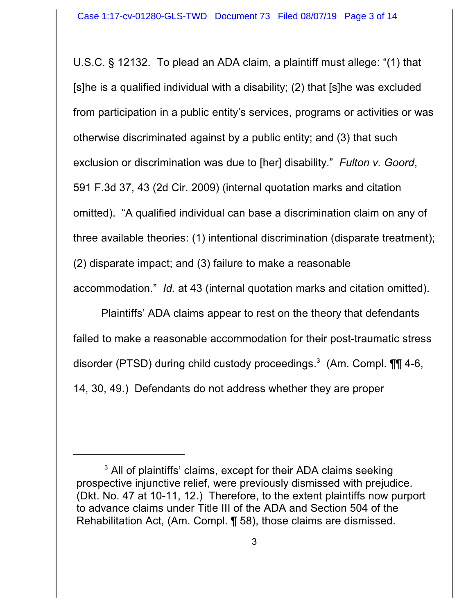U.S.C. § 12132. To plead an ADA claim, a plaintiff must allege: "(1) that [s]he is a qualified individual with a disability; (2) that [s]he was excluded from participation in a public entity's services, programs or activities or was otherwise discriminated against by a public entity; and (3) that such exclusion or discrimination was due to [her] disability." *Fulton v. Goord*, 591 F.3d 37, 43 (2d Cir. 2009) (internal quotation marks and citation omitted). "A qualified individual can base a discrimination claim on any of three available theories: (1) intentional discrimination (disparate treatment); (2) disparate impact; and (3) failure to make a reasonable accommodation." *Id.* at 43 (internal quotation marks and citation omitted).

Plaintiffs' ADA claims appear to rest on the theory that defendants failed to make a reasonable accommodation for their post-traumatic stress disorder (PTSD) during child custody proceedings.<sup>3</sup> (Am. Compl. **\\\rightata**6, 14, 30, 49.) Defendants do not address whether they are proper

<sup>&</sup>lt;sup>3</sup> All of plaintiffs' claims, except for their ADA claims seeking prospective injunctive relief, were previously dismissed with prejudice. (Dkt. No. 47 at 10-11, 12.) Therefore, to the extent plaintiffs now purport to advance claims under Title III of the ADA and Section 504 of the Rehabilitation Act, (Am. Compl. ¶ 58), those claims are dismissed.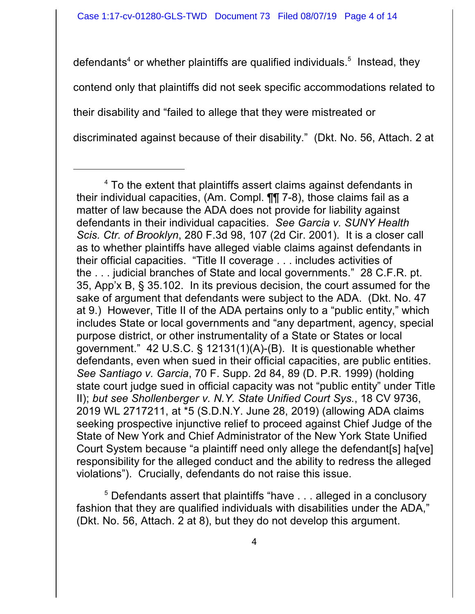defendants<sup>4</sup> or whether plaintiffs are qualified individuals.<sup>5</sup> Instead, they contend only that plaintiffs did not seek specific accommodations related to their disability and "failed to allege that they were mistreated or discriminated against because of their disability." (Dkt. No. 56, Attach. 2 at

<sup>5</sup> Defendants assert that plaintiffs "have . . . alleged in a conclusory fashion that they are qualified individuals with disabilities under the ADA," (Dkt. No. 56, Attach. 2 at 8), but they do not develop this argument.

<sup>&</sup>lt;sup>4</sup> To the extent that plaintiffs assert claims against defendants in their individual capacities, (Am. Compl. ¶¶ 7-8), those claims fail as a matter of law because the ADA does not provide for liability against defendants in their individual capacities. *See Garcia v. SUNY Health Scis. Ctr. of Brooklyn*, 280 F.3d 98, 107 (2d Cir. 2001). It is a closer call as to whether plaintiffs have alleged viable claims against defendants in their official capacities. "Title II coverage . . . includes activities of the . . . judicial branches of State and local governments." 28 C.F.R. pt. 35, App'x B, § 35.102. In its previous decision, the court assumed for the sake of argument that defendants were subject to the ADA. (Dkt. No. 47 at 9.) However, Title II of the ADA pertains only to a "public entity," which includes State or local governments and "any department, agency, special purpose district, or other instrumentality of a State or States or local government." 42 U.S.C. § 12131(1)(A)-(B). It is questionable whether defendants, even when sued in their official capacities, are public entities. *See Santiago v. Garcia*, 70 F. Supp. 2d 84, 89 (D. P.R. 1999) (holding state court judge sued in official capacity was not "public entity" under Title II); *but see Shollenberger v. N.Y. State Unified Court Sys.*, 18 CV 9736, 2019 WL 2717211, at \*5 (S.D.N.Y. June 28, 2019) (allowing ADA claims seeking prospective injunctive relief to proceed against Chief Judge of the State of New York and Chief Administrator of the New York State Unified Court System because "a plaintiff need only allege the defendant[s] ha[ve] responsibility for the alleged conduct and the ability to redress the alleged violations"). Crucially, defendants do not raise this issue.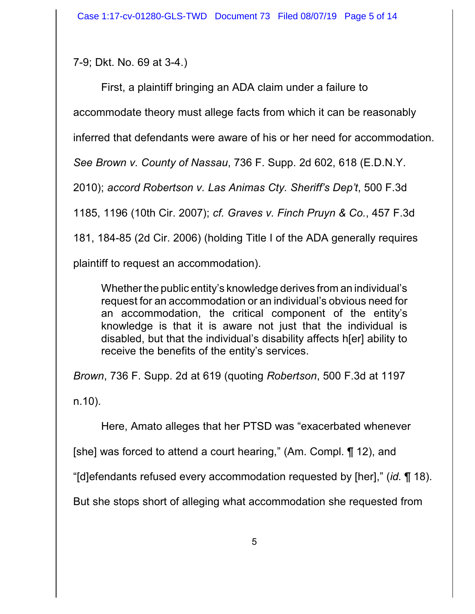7-9; Dkt. No. 69 at 3-4.)

First, a plaintiff bringing an ADA claim under a failure to accommodate theory must allege facts from which it can be reasonably inferred that defendants were aware of his or her need for accommodation. *See Brown v. County of Nassau*, 736 F. Supp. 2d 602, 618 (E.D.N.Y. 2010); *accord Robertson v. Las Animas Cty. Sheriff's Dep't*, 500 F.3d 1185, 1196 (10th Cir. 2007); *cf. Graves v. Finch Pruyn & Co.*, 457 F.3d 181, 184-85 (2d Cir. 2006) (holding Title I of the ADA generally requires plaintiff to request an accommodation).

Whether the public entity's knowledge derives from an individual's request for an accommodation or an individual's obvious need for an accommodation, the critical component of the entity's knowledge is that it is aware not just that the individual is disabled, but that the individual's disability affects h[er] ability to receive the benefits of the entity's services.

*Brown*, 736 F. Supp. 2d at 619 (quoting *Robertson*, 500 F.3d at 1197 n.10).

Here, Amato alleges that her PTSD was "exacerbated whenever

[she] was forced to attend a court hearing," (Am. Compl. ¶ 12), and

"[d]efendants refused every accommodation requested by [her]," (*id.* ¶ 18).

But she stops short of alleging what accommodation she requested from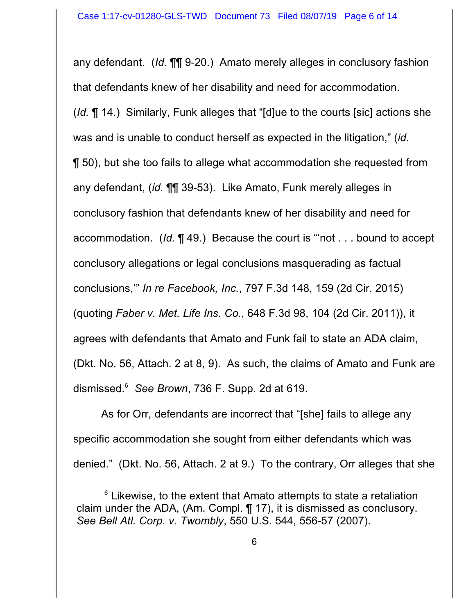any defendant. (*Id.* ¶¶ 9-20.) Amato merely alleges in conclusory fashion that defendants knew of her disability and need for accommodation. (*Id.* ¶ 14.) Similarly, Funk alleges that "[d]ue to the courts [sic] actions she was and is unable to conduct herself as expected in the litigation," (*id.* ¶ 50), but she too fails to allege what accommodation she requested from any defendant, (*id.* ¶¶ 39-53). Like Amato, Funk merely alleges in conclusory fashion that defendants knew of her disability and need for accommodation. (*Id.* ¶ 49.) Because the court is "'not . . . bound to accept conclusory allegations or legal conclusions masquerading as factual conclusions,'" *In re Facebook, Inc.*, 797 F.3d 148, 159 (2d Cir. 2015) (quoting *Faber v. Met. Life Ins. Co.*, 648 F.3d 98, 104 (2d Cir. 2011)), it agrees with defendants that Amato and Funk fail to state an ADA claim, (Dkt. No. 56, Attach. 2 at 8, 9). As such, the claims of Amato and Funk are dismissed.<sup>6</sup> *See Brown*, 736 F. Supp. 2d at 619.

As for Orr, defendants are incorrect that "[she] fails to allege any specific accommodation she sought from either defendants which was denied." (Dkt. No. 56, Attach. 2 at 9.) To the contrary, Orr alleges that she

 $6$  Likewise, to the extent that Amato attempts to state a retaliation claim under the ADA, (Am. Compl. ¶ 17), it is dismissed as conclusory. *See Bell Atl. Corp. v. Twombly*, 550 U.S. 544, 556-57 (2007).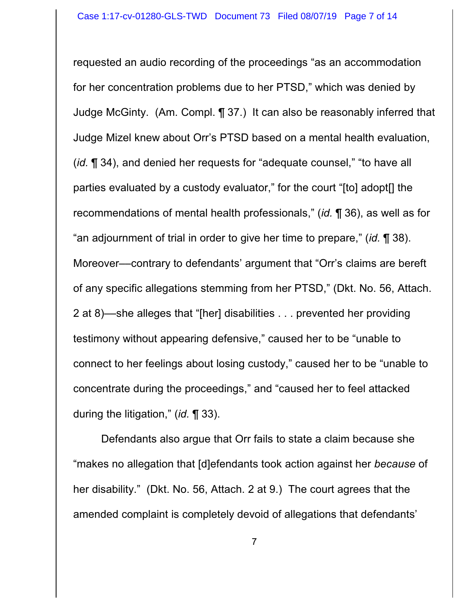requested an audio recording of the proceedings "as an accommodation for her concentration problems due to her PTSD," which was denied by Judge McGinty. (Am. Compl. ¶ 37.) It can also be reasonably inferred that Judge Mizel knew about Orr's PTSD based on a mental health evaluation, (*id.* ¶ 34), and denied her requests for "adequate counsel," "to have all parties evaluated by a custody evaluator," for the court "[to] adopt[] the recommendations of mental health professionals," (*id.* ¶ 36), as well as for "an adjournment of trial in order to give her time to prepare," (*id.* ¶ 38). Moreover––contrary to defendants' argument that "Orr's claims are bereft of any specific allegations stemming from her PTSD," (Dkt. No. 56, Attach. 2 at 8)––she alleges that "[her] disabilities . . . prevented her providing testimony without appearing defensive," caused her to be "unable to connect to her feelings about losing custody," caused her to be "unable to concentrate during the proceedings," and "caused her to feel attacked during the litigation," (*id.* ¶ 33).

Defendants also argue that Orr fails to state a claim because she "makes no allegation that [d]efendants took action against her *because* of her disability." (Dkt. No. 56, Attach. 2 at 9.) The court agrees that the amended complaint is completely devoid of allegations that defendants'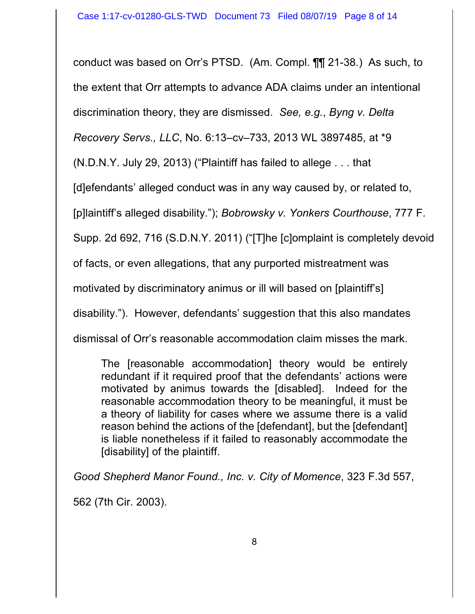conduct was based on Orr's PTSD. (Am. Compl. ¶¶ 21-38.) As such, to the extent that Orr attempts to advance ADA claims under an intentional discrimination theory, they are dismissed. *See, e.g.*, *Byng v. Delta Recovery Servs., LLC*, No. 6:13–cv–733, 2013 WL 3897485, at \*9

(N.D.N.Y. July 29, 2013) ("Plaintiff has failed to allege . . . that

[d]efendants' alleged conduct was in any way caused by, or related to,

[p]laintiff's alleged disability."); *Bobrowsky v. Yonkers Courthouse*, 777 F.

Supp. 2d 692, 716 (S.D.N.Y. 2011) ("[T]he [c]omplaint is completely devoid

of facts, or even allegations, that any purported mistreatment was

motivated by discriminatory animus or ill will based on [plaintiff's]

disability."). However, defendants' suggestion that this also mandates

dismissal of Orr's reasonable accommodation claim misses the mark.

The [reasonable accommodation] theory would be entirely redundant if it required proof that the defendants' actions were motivated by animus towards the [disabled]. Indeed for the reasonable accommodation theory to be meaningful, it must be a theory of liability for cases where we assume there is a valid reason behind the actions of the [defendant], but the [defendant] is liable nonetheless if it failed to reasonably accommodate the [disability] of the plaintiff.

*Good Shepherd Manor Found., Inc. v. City of Momence*, 323 F.3d 557, 562 (7th Cir. 2003).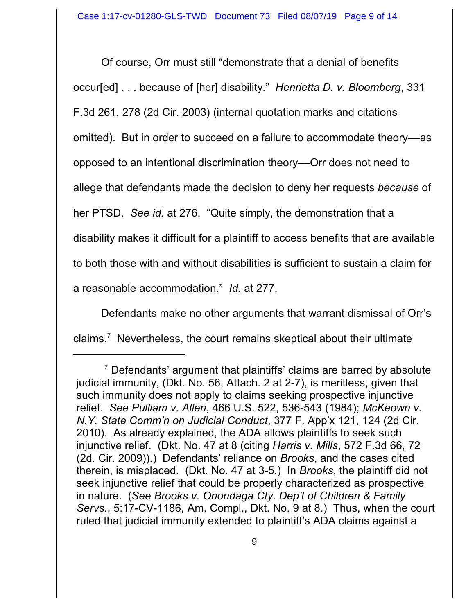Of course, Orr must still "demonstrate that a denial of benefits occur[ed] . . . because of [her] disability." *Henrietta D. v. Bloomberg*, 331 F.3d 261, 278 (2d Cir. 2003) (internal quotation marks and citations omitted). But in order to succeed on a failure to accommodate theory––as opposed to an intentional discrimination theory––Orr does not need to allege that defendants made the decision to deny her requests *because* of her PTSD. *See id.* at 276. "Quite simply, the demonstration that a disability makes it difficult for a plaintiff to access benefits that are available to both those with and without disabilities is sufficient to sustain a claim for a reasonable accommodation." *Id.* at 277.

Defendants make no other arguments that warrant dismissal of Orr's claims. <sup>7</sup> Nevertheless, the court remains skeptical about their ultimate

 $7$  Defendants' argument that plaintiffs' claims are barred by absolute judicial immunity, (Dkt. No. 56, Attach. 2 at 2-7), is meritless, given that such immunity does not apply to claims seeking prospective injunctive relief. *See Pulliam v. Allen*, 466 U.S. 522, 536-543 (1984); *McKeown v. N.Y. State Comm'n on Judicial Conduct*, 377 F. App'x 121, 124 (2d Cir. 2010). As already explained, the ADA allows plaintiffs to seek such injunctive relief. (Dkt. No. 47 at 8 (citing *Harris v. Mills*, 572 F.3d 66, 72 (2d. Cir. 2009)).) Defendants' reliance on *Brooks*, and the cases cited therein, is misplaced. (Dkt. No. 47 at 3-5.) In *Brooks*, the plaintiff did not seek injunctive relief that could be properly characterized as prospective in nature. (*See Brooks v. Onondaga Cty. Dep't of Children & Family Servs.*, 5:17-CV-1186, Am. Compl., Dkt. No. 9 at 8.) Thus, when the court ruled that judicial immunity extended to plaintiff's ADA claims against a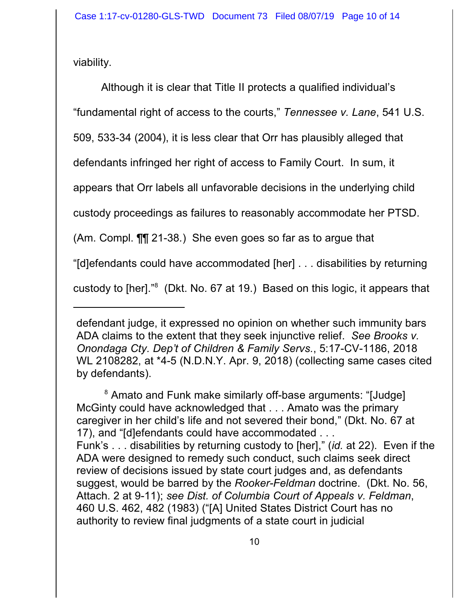viability.

Although it is clear that Title II protects a qualified individual's "fundamental right of access to the courts," *Tennessee v. Lane*, 541 U.S. 509, 533-34 (2004), it is less clear that Orr has plausibly alleged that defendants infringed her right of access to Family Court. In sum, it appears that Orr labels all unfavorable decisions in the underlying child custody proceedings as failures to reasonably accommodate her PTSD. (Am. Compl. ¶¶ 21-38*.*) She even goes so far as to argue that "[d]efendants could have accommodated [her] . . . disabilities by returning custody to [her]."<sup>8</sup> (Dkt. No. 67 at 19.) Based on this logic, it appears that

<sup>8</sup> Amato and Funk make similarly off-base arguments: "[Judge] McGinty could have acknowledged that . . . Amato was the primary caregiver in her child's life and not severed their bond," (Dkt. No. 67 at 17), and "[d]efendants could have accommodated . . . Funk's . . . disabilities by returning custody to [her]," (*id.* at 22). Even if the ADA were designed to remedy such conduct, such claims seek direct review of decisions issued by state court judges and, as defendants suggest, would be barred by the *Rooker-Feldman* doctrine. (Dkt. No. 56, Attach. 2 at 9-11); *see Dist. of Columbia Court of Appeals v. Feldman*, 460 U.S. 462, 482 (1983) ("[A] United States District Court has no authority to review final judgments of a state court in judicial

defendant judge, it expressed no opinion on whether such immunity bars ADA claims to the extent that they seek injunctive relief. *See Brooks v. Onondaga Cty. Dep't of Children & Family Servs.*, 5:17-CV-1186, 2018 WL 2108282, at \*4-5 (N.D.N.Y. Apr. 9, 2018) (collecting same cases cited by defendants).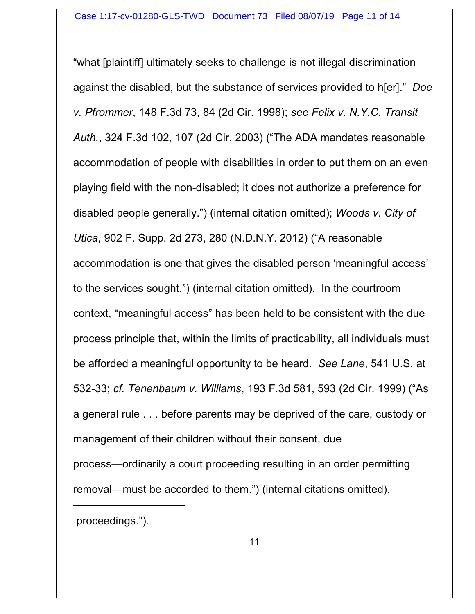"what [plaintiff] ultimately seeks to challenge is not illegal discrimination against the disabled, but the substance of services provided to h[er]." *Doe v. Pfrommer*, 148 F.3d 73, 84 (2d Cir. 1998); *see Felix v. N.Y.C. Transit Auth.*, 324 F.3d 102, 107 (2d Cir. 2003) ("The ADA mandates reasonable accommodation of people with disabilities in order to put them on an even playing field with the non-disabled; it does not authorize a preference for disabled people generally.") (internal citation omitted); *Woods v. City of Utica*, 902 F. Supp. 2d 273, 280 (N.D.N.Y. 2012) ("A reasonable accommodation is one that gives the disabled person 'meaningful access' to the services sought.") (internal citation omitted). In the courtroom context, "meaningful access" has been held to be consistent with the due process principle that, within the limits of practicability, all individuals must be afforded a meaningful opportunity to be heard. *See Lane*, 541 U.S. at 532-33; *cf. Tenenbaum v. Williams*, 193 F.3d 581, 593 (2d Cir. 1999) ("As a general rule . . . before parents may be deprived of the care, custody or management of their children without their consent, due

process—ordinarily a court proceeding resulting in an order permitting removal—must be accorded to them.") (internal citations omitted).

proceedings.").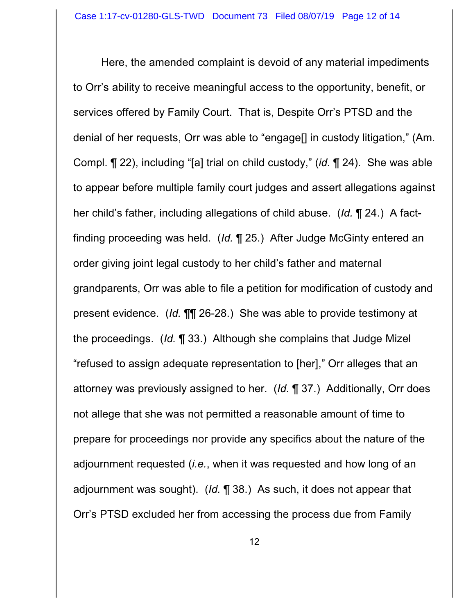Here, the amended complaint is devoid of any material impediments to Orr's ability to receive meaningful access to the opportunity, benefit, or services offered by Family Court. That is, Despite Orr's PTSD and the denial of her requests, Orr was able to "engage[] in custody litigation," (Am. Compl. ¶ 22), including "[a] trial on child custody," (*id.* ¶ 24). She was able to appear before multiple family court judges and assert allegations against her child's father, including allegations of child abuse. (*Id.* ¶ 24.) A factfinding proceeding was held. (*Id.* ¶ 25.) After Judge McGinty entered an order giving joint legal custody to her child's father and maternal grandparents, Orr was able to file a petition for modification of custody and present evidence. (*Id.* ¶¶ 26-28.) She was able to provide testimony at the proceedings. (*Id.* ¶ 33.) Although she complains that Judge Mizel "refused to assign adequate representation to [her]," Orr alleges that an attorney was previously assigned to her. (*Id.* ¶ 37.) Additionally, Orr does not allege that she was not permitted a reasonable amount of time to prepare for proceedings nor provide any specifics about the nature of the adjournment requested (*i.e.*, when it was requested and how long of an adjournment was sought). (*Id.* ¶ 38.) As such, it does not appear that Orr's PTSD excluded her from accessing the process due from Family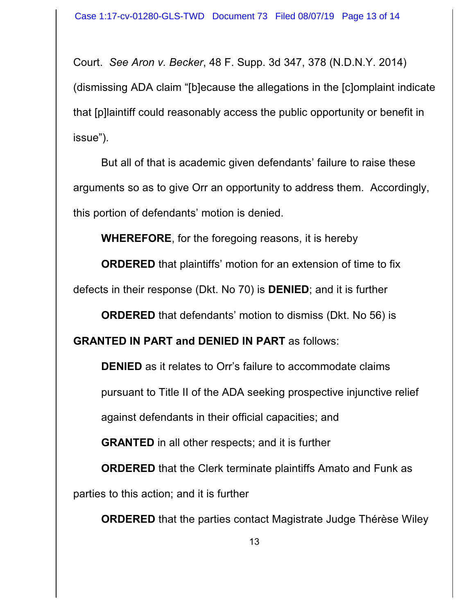Court. *See Aron v. Becker*, 48 F. Supp. 3d 347, 378 (N.D.N.Y. 2014) (dismissing ADA claim "[b]ecause the allegations in the [c]omplaint indicate that [p]laintiff could reasonably access the public opportunity or benefit in issue").

But all of that is academic given defendants' failure to raise these arguments so as to give Orr an opportunity to address them. Accordingly, this portion of defendants' motion is denied.

**WHEREFORE**, for the foregoing reasons, it is hereby

**ORDERED** that plaintiffs' motion for an extension of time to fix defects in their response (Dkt. No 70) is **DENIED**; and it is further

**ORDERED** that defendants' motion to dismiss (Dkt. No 56) is

**GRANTED IN PART and DENIED IN PART** as follows:

**DENIED** as it relates to Orr's failure to accommodate claims

pursuant to Title II of the ADA seeking prospective injunctive relief

against defendants in their official capacities; and

**GRANTED** in all other respects; and it is further

**ORDERED** that the Clerk terminate plaintiffs Amato and Funk as parties to this action; and it is further

**ORDERED** that the parties contact Magistrate Judge Thérèse Wiley